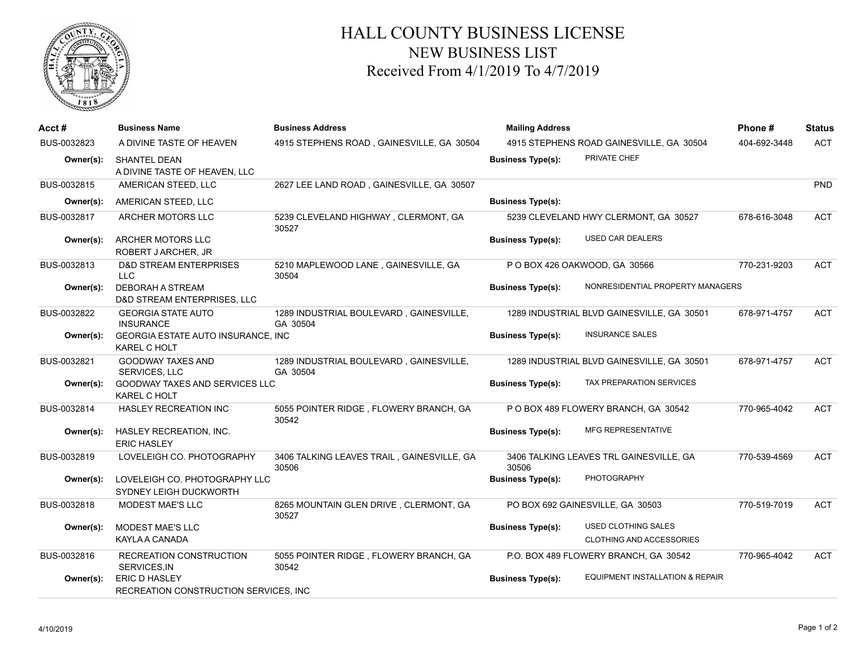

## HALL COUNTY BUSINESS LICENSE NEW BUSINESS LIST Received From 4/1/2019 To 4/7/2019

| Acct #      | <b>Business Name</b>                                             | <b>Business Address</b>                             | <b>Mailing Address</b>   |                                                               | Phone#       | <b>Status</b> |
|-------------|------------------------------------------------------------------|-----------------------------------------------------|--------------------------|---------------------------------------------------------------|--------------|---------------|
| BUS-0032823 | A DIVINE TASTE OF HEAVEN                                         | 4915 STEPHENS ROAD, GAINESVILLE, GA 30504           |                          | 4915 STEPHENS ROAD GAINESVILLE, GA 30504                      |              | <b>ACT</b>    |
| Owner(s):   | <b>SHANTEL DEAN</b><br>A DIVINE TASTE OF HEAVEN, LLC             |                                                     | <b>Business Type(s):</b> | PRIVATE CHEF                                                  |              |               |
| BUS-0032815 | AMERICAN STEED, LLC                                              | 2627 LEE LAND ROAD, GAINESVILLE, GA 30507           |                          |                                                               |              | PND           |
| Owner(s):   | AMERICAN STEED, LLC                                              |                                                     | <b>Business Type(s):</b> |                                                               |              |               |
| BUS-0032817 | ARCHER MOTORS LLC                                                | 5239 CLEVELAND HIGHWAY, CLERMONT, GA<br>30527       |                          | 5239 CLEVELAND HWY CLERMONT, GA 30527                         | 678-616-3048 | <b>ACT</b>    |
| Owner(s):   | ARCHER MOTORS LLC<br>ROBERT J ARCHER, JR                         |                                                     | <b>Business Type(s):</b> | <b>USED CAR DEALERS</b>                                       |              |               |
| BUS-0032813 | <b>D&amp;D STREAM ENTERPRISES</b><br><b>LLC</b>                  | 5210 MAPLEWOOD LANE, GAINESVILLE, GA<br>30504       |                          | P O BOX 426 OAKWOOD, GA 30566                                 | 770-231-9203 | <b>ACT</b>    |
| Owner(s):   | <b>DEBORAH A STREAM</b><br>D&D STREAM ENTERPRISES, LLC           |                                                     | <b>Business Type(s):</b> | NONRESIDENTIAL PROPERTY MANAGERS                              |              |               |
| BUS-0032822 | <b>GEORGIA STATE AUTO</b><br><b>INSURANCE</b>                    | 1289 INDUSTRIAL BOULEVARD, GAINESVILLE,<br>GA 30504 |                          | 1289 INDUSTRIAL BLVD GAINESVILLE, GA 30501                    | 678-971-4757 | <b>ACT</b>    |
| Owner(s):   | <b>GEORGIA ESTATE AUTO INSURANCE, INC</b><br><b>KAREL C HOLT</b> |                                                     | <b>Business Type(s):</b> | <b>INSURANCE SALES</b>                                        |              |               |
| BUS-0032821 | <b>GOODWAY TAXES AND</b><br><b>SERVICES, LLC</b>                 | 1289 INDUSTRIAL BOULEVARD, GAINESVILLE,<br>GA 30504 |                          | 1289 INDUSTRIAL BLVD GAINESVILLE, GA 30501                    | 678-971-4757 | ACT           |
| Owner(s):   | GOODWAY TAXES AND SERVICES LLC<br><b>KAREL C HOLT</b>            |                                                     | <b>Business Type(s):</b> | TAX PREPARATION SERVICES                                      |              |               |
| BUS-0032814 | <b>HASLEY RECREATION INC</b>                                     | 5055 POINTER RIDGE, FLOWERY BRANCH, GA<br>30542     |                          | P O BOX 489 FLOWERY BRANCH, GA 30542                          | 770-965-4042 | <b>ACT</b>    |
| Owner(s):   | HASLEY RECREATION, INC.<br><b>ERIC HASLEY</b>                    |                                                     | <b>Business Type(s):</b> | <b>MFG REPRESENTATIVE</b>                                     |              |               |
| BUS-0032819 | LOVELEIGH CO. PHOTOGRAPHY                                        | 3406 TALKING LEAVES TRAIL, GAINESVILLE, GA<br>30506 | 30506                    | 3406 TALKING LEAVES TRL GAINESVILLE, GA                       | 770-539-4569 | <b>ACT</b>    |
| Owner(s):   | LOVELEIGH CO. PHOTOGRAPHY LLC<br>SYDNEY LEIGH DUCKWORTH          |                                                     | <b>Business Type(s):</b> | <b>PHOTOGRAPHY</b>                                            |              |               |
| BUS-0032818 | MODEST MAE'S LLC                                                 | 8265 MOUNTAIN GLEN DRIVE, CLERMONT, GA<br>30527     |                          | PO BOX 692 GAINESVILLE, GA 30503                              | 770-519-7019 | <b>ACT</b>    |
| Owner(s):   | <b>MODEST MAE'S LLC</b><br>KAYLA A CANADA                        |                                                     | <b>Business Type(s):</b> | <b>USED CLOTHING SALES</b><br><b>CLOTHING AND ACCESSORIES</b> |              |               |
| BUS-0032816 | RECREATION CONSTRUCTION<br>SERVICES, IN                          | 5055 POINTER RIDGE, FLOWERY BRANCH, GA<br>30542     |                          | P.O. BOX 489 FLOWERY BRANCH, GA 30542                         | 770-965-4042 | <b>ACT</b>    |
| Owner(s):   | ERIC D HASLEY<br>RECREATION CONSTRUCTION SERVICES, INC.          |                                                     | <b>Business Type(s):</b> | <b>EQUIPMENT INSTALLATION &amp; REPAIR</b>                    |              |               |
|             |                                                                  |                                                     |                          |                                                               |              |               |